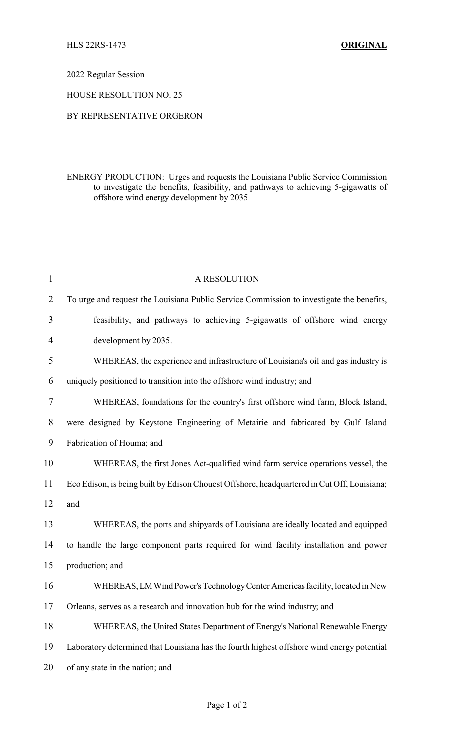2022 Regular Session

HOUSE RESOLUTION NO. 25

## BY REPRESENTATIVE ORGERON

ENERGY PRODUCTION: Urges and requests the Louisiana Public Service Commission to investigate the benefits, feasibility, and pathways to achieving 5-gigawatts of offshore wind energy development by 2035

| $\mathbf{1}$   | A RESOLUTION                                                                                |
|----------------|---------------------------------------------------------------------------------------------|
| $\overline{2}$ | To urge and request the Louisiana Public Service Commission to investigate the benefits,    |
| 3              | feasibility, and pathways to achieving 5-gigawatts of offshore wind energy                  |
| 4              | development by 2035.                                                                        |
| 5              | WHEREAS, the experience and infrastructure of Louisiana's oil and gas industry is           |
| 6              | uniquely positioned to transition into the offshore wind industry; and                      |
| 7              | WHEREAS, foundations for the country's first offshore wind farm, Block Island,              |
| 8              | were designed by Keystone Engineering of Metairie and fabricated by Gulf Island             |
| 9              | Fabrication of Houma; and                                                                   |
| 10             | WHEREAS, the first Jones Act-qualified wind farm service operations vessel, the             |
| 11             | Eco Edison, is being built by Edison Chouest Offshore, headquartered in Cut Off, Louisiana; |
| 12             | and                                                                                         |
| 13             | WHEREAS, the ports and shipyards of Louisiana are ideally located and equipped              |
| 14             | to handle the large component parts required for wind facility installation and power       |
| 15             | production; and                                                                             |
| 16             | WHEREAS, LM Wind Power's Technology Center Americas facility, located in New                |
| 17             | Orleans, serves as a research and innovation hub for the wind industry, and                 |
| 18             | WHEREAS, the United States Department of Energy's National Renewable Energy                 |
| 19             | Laboratory determined that Louisiana has the fourth highest offshore wind energy potential  |
| 20             | of any state in the nation; and                                                             |